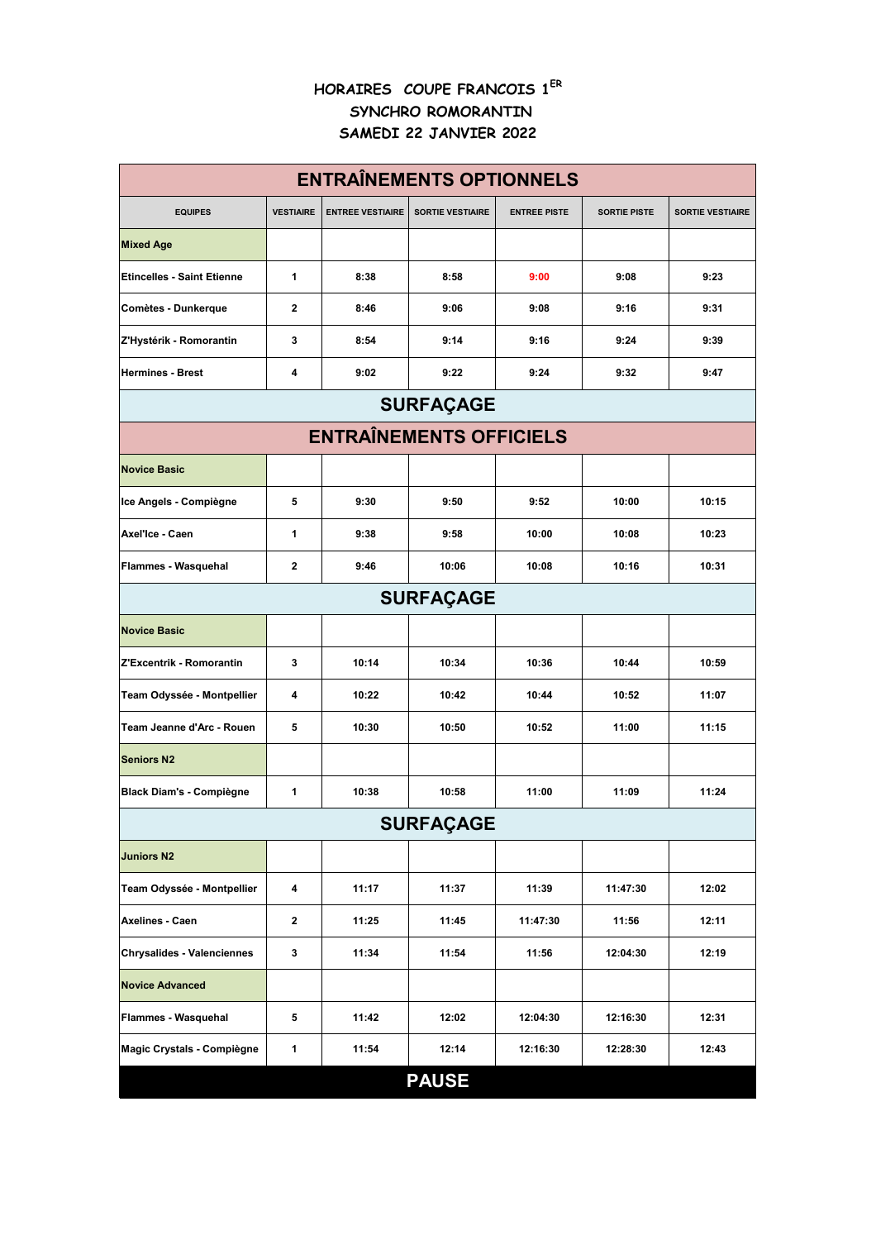## **HORAIRES COUPE FRANCOIS 1ER SYNCHRO ROMORANTIN SAMEDI 22 JANVIER 2022**

| <b>ENTRAÎNEMENTS OPTIONNELS</b>   |                  |                         |                         |                     |                     |                         |  |  |  |  |
|-----------------------------------|------------------|-------------------------|-------------------------|---------------------|---------------------|-------------------------|--|--|--|--|
| <b>EQUIPES</b>                    | <b>VESTIAIRE</b> | <b>ENTREE VESTIAIRE</b> | <b>SORTIE VESTIAIRE</b> | <b>ENTREE PISTE</b> | <b>SORTIE PISTE</b> | <b>SORTIE VESTIAIRE</b> |  |  |  |  |
| <b>Mixed Age</b>                  |                  |                         |                         |                     |                     |                         |  |  |  |  |
| <b>Etincelles - Saint Etienne</b> | 1                | 8:38                    | 8:58                    | 9:00                | 9:08                | 9:23                    |  |  |  |  |
| Comètes - Dunkerque               | $\mathbf{2}$     | 8:46                    | 9:06                    | 9:08                | 9:16                | 9:31                    |  |  |  |  |
| Z'Hystérik - Romorantin           | 3                | 8:54                    | 9:14                    | 9:16                | 9:24                | 9:39                    |  |  |  |  |
| <b>Hermines - Brest</b>           | 4                | 9:02                    | 9:22                    | 9:24                | 9:32                | 9:47                    |  |  |  |  |
| <b>SURFAÇAGE</b>                  |                  |                         |                         |                     |                     |                         |  |  |  |  |
| <b>ENTRAÎNEMENTS OFFICIELS</b>    |                  |                         |                         |                     |                     |                         |  |  |  |  |
| <b>Novice Basic</b>               |                  |                         |                         |                     |                     |                         |  |  |  |  |
| Ice Angels - Compiègne            | 5                | 9:30                    | 9:50                    | 9:52                | 10:00               | 10:15                   |  |  |  |  |
| Axel'Ice - Caen                   | 1                | 9:38                    | 9:58                    | 10:00               | 10:08               | 10:23                   |  |  |  |  |
| Flammes - Wasquehal               | $\mathbf 2$      | 9:46                    | 10:06                   | 10:08               | 10:16               | 10:31                   |  |  |  |  |
| <b>SURFAÇAGE</b>                  |                  |                         |                         |                     |                     |                         |  |  |  |  |
| <b>Novice Basic</b>               |                  |                         |                         |                     |                     |                         |  |  |  |  |
| Z'Excentrik - Romorantin          | 3                | 10:14                   | 10:34                   | 10:36               | 10:44               | 10:59                   |  |  |  |  |
| Team Odyssée - Montpellier        | 4                | 10:22                   | 10:42                   | 10:44               | 10:52               | 11:07                   |  |  |  |  |
| Team Jeanne d'Arc - Rouen         | 5                | 10:30                   | 10:50                   | 10:52               | 11:00               | 11:15                   |  |  |  |  |
| <b>Seniors N2</b>                 |                  |                         |                         |                     |                     |                         |  |  |  |  |
| <b>Black Diam's - Compiègne</b>   | 1                | 10:38                   | 10:58                   | 11:00               | 11:09               | 11:24                   |  |  |  |  |
| <b>SURFAÇAGE</b>                  |                  |                         |                         |                     |                     |                         |  |  |  |  |
| <b>Juniors N2</b>                 |                  |                         |                         |                     |                     |                         |  |  |  |  |
| Team Odyssée - Montpellier        | 4                | 11:17                   | 11:37                   | 11:39               | 11:47:30            | 12:02                   |  |  |  |  |
| Axelines - Caen                   | $\mathbf 2$      | 11:25                   | 11:45                   | 11:47:30            | 11:56               | 12:11                   |  |  |  |  |
| <b>Chrysalides - Valenciennes</b> | 3                | 11:34                   | 11:54                   | 11:56               | 12:04:30            | 12:19                   |  |  |  |  |
| <b>Novice Advanced</b>            |                  |                         |                         |                     |                     |                         |  |  |  |  |
| Flammes - Wasquehal               | 5                | 11:42                   | 12:02                   | 12:04:30            | 12:16:30            | 12:31                   |  |  |  |  |
| Magic Crystals - Compiègne        | 1                | 11:54                   | 12:14                   | 12:16:30            | 12:28:30            | 12:43                   |  |  |  |  |
|                                   |                  |                         | <b>PAUSE</b>            |                     |                     |                         |  |  |  |  |